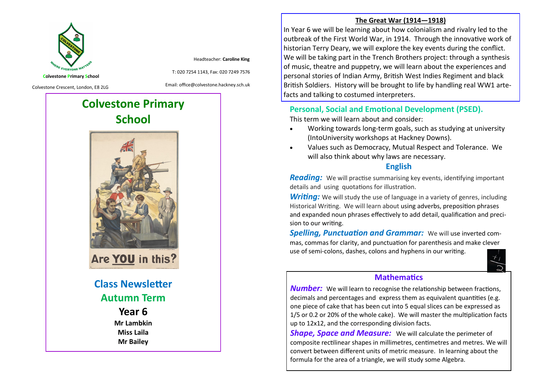

Headteacher: **Caroline King**

**Colvestone Primary School**

Colvestone Crescent, London, E8 2LG

Email: office@colvestone.hackney.sch.uk

T: 020 7254 1143, Fax: 020 7249 7576

# **Colvestone Primary School**



Are YOU in this?

**Class Newsletter Autumn Term**

## **Year 6**

**Mr Lambkin Miss Laila Mr Bailey**

#### **The Great War (1914—1918)**

In Year 6 we will be learning about how colonialism and rivalry led to the outbreak of the First World War, in 1914. Through the innovative work of historian Terry Deary, we will explore the key events during the conflict. We will be taking part in the Trench Brothers project: through a synthesis of music, theatre and puppetry, we will learn about the experiences and personal stories of Indian Army, British West Indies Regiment and black British Soldiers. History will be brought to life by handling real WW1 artefacts and talking to costumed interpreters.

#### **Personal, Social and Emotional Development (PSED).**

This term we will learn about and consider:

- Working towards long-term goals, such as studying at university (IntoUniversity workshops at Hackney Downs).
- Values such as Democracy, Mutual Respect and Tolerance. We will also think about why laws are necessary.

#### **English**

*Reading:* We will practise summarising key events, identifying important details and using quotations for illustration.

**Writing:** We will study the use of language in a variety of genres, including Historical Writing. We will learn about using adverbs, preposition phrases and expanded noun phrases effectively to add detail, qualification and precision to our writing.

*Spelling, Punctuation and Grammar:* We will use inverted commas, commas for clarity, and punctuation for parenthesis and make clever use of semi-colons, dashes, colons and hyphens in our writing.



#### **Mathematics**

*Number:* We will learn to recognise the relationship between fractions, decimals and percentages and express them as equivalent quantities (e.g. one piece of cake that has been cut into 5 equal slices can be expressed as 1/5 or 0.2 or 20% of the whole cake). We will master the multiplication facts up to 12x12, and the corresponding division facts.

*Shape, Space and Measure:* We will calculate the perimeter of composite rectilinear shapes in millimetres, centimetres and metres. We will convert between different units of metric measure. In learning about the formula for the area of a triangle, we will study some Algebra.